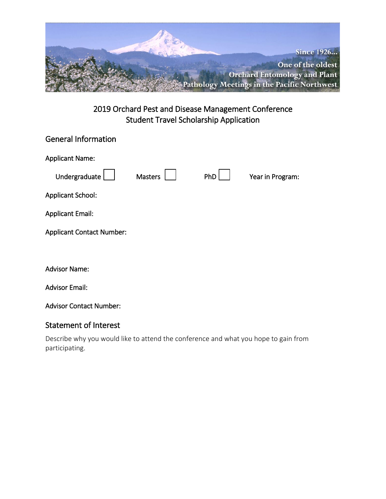

| <b>General Information</b>       |                |     |                  |
|----------------------------------|----------------|-----|------------------|
| <b>Applicant Name:</b>           |                |     |                  |
| Undergraduate                    | <b>Masters</b> | PhD | Year in Program: |
| Applicant School:                |                |     |                  |
| <b>Applicant Email:</b>          |                |     |                  |
| <b>Applicant Contact Number:</b> |                |     |                  |
|                                  |                |     |                  |
| <b>Advisor Name:</b>             |                |     |                  |
| <b>Advisor Email:</b>            |                |     |                  |
| <b>Advisor Contact Number:</b>   |                |     |                  |

### Statement of Interest

Describe why you would like to attend the conference and what you hope to gain from participating.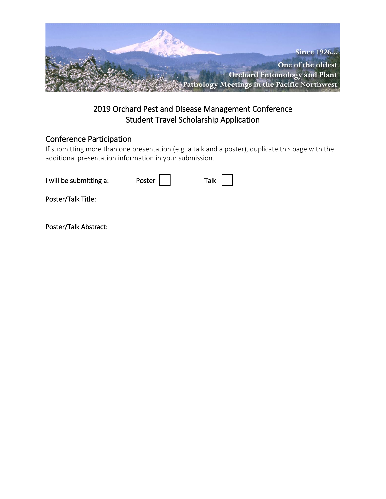

### Conference Participation

If submitting more than one presentation (e.g. a talk and a poster), duplicate this page with the additional presentation information in your submission.

| I will be submitting a: | Poster | Talk $\vert$ |
|-------------------------|--------|--------------|
| Poster/Talk Title:      |        |              |
| Poster/Talk Abstract:   |        |              |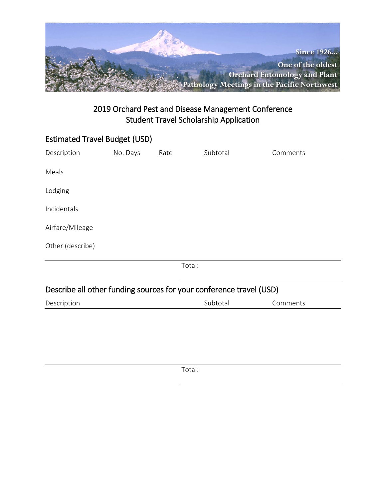

| <b>Estimated Travel Budget (USD)</b>                                |          |      |          |          |  |
|---------------------------------------------------------------------|----------|------|----------|----------|--|
| Description                                                         | No. Days | Rate | Subtotal | Comments |  |
| Meals                                                               |          |      |          |          |  |
| Lodging                                                             |          |      |          |          |  |
| Incidentals                                                         |          |      |          |          |  |
| Airfare/Mileage                                                     |          |      |          |          |  |
| Other (describe)                                                    |          |      |          |          |  |
|                                                                     |          |      | Total:   |          |  |
| Describe all other funding sources for your conference travel (USD) |          |      |          |          |  |
| Description                                                         |          |      | Subtotal | Comments |  |
|                                                                     |          |      |          |          |  |

Total: